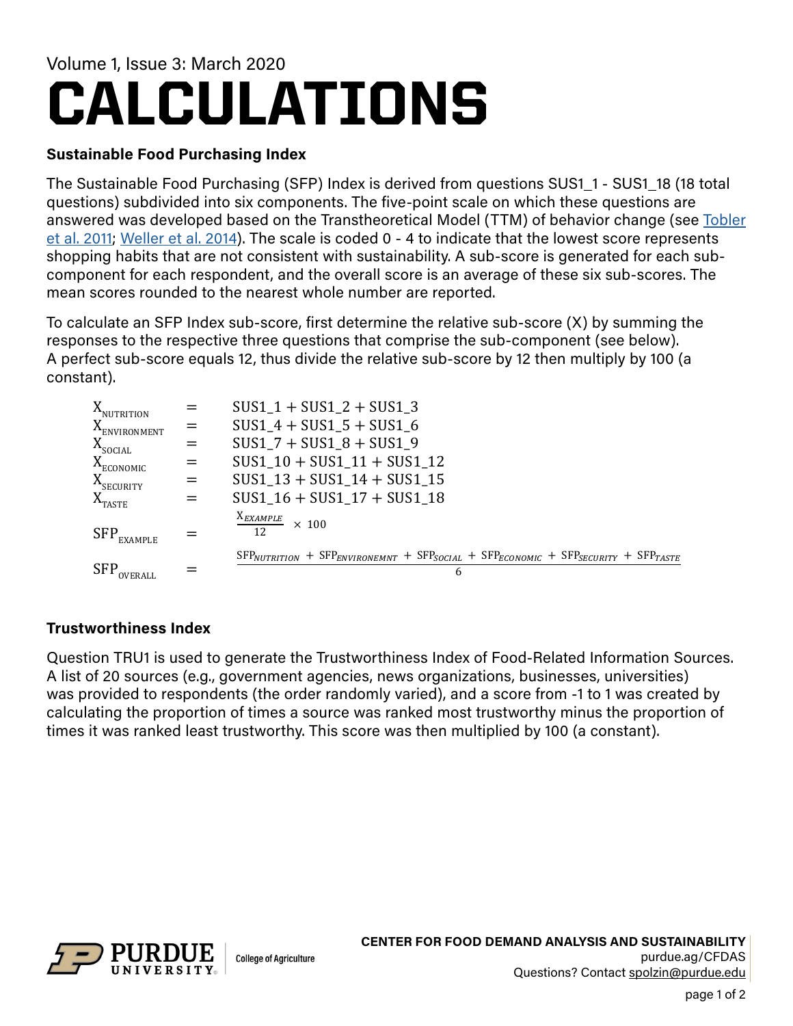## CALCULATIONS Volume 1, Issue 3: March 2020

## **Sustainable Food Purchasing Index**

The Sustainable Food Purchasing (SFP) Index is derived from questions SUS1\_1 - SUS1\_18 (18 total questions) subdivided into six components. The five-point scale on which these questions are answered was developed based on the Transtheoretical Model (TTM) of behavior change (see [Tobler](https://doi.org/10.1016/j.appet.2011.08.010) [et al. 2011;](https://doi.org/10.1016/j.appet.2011.08.010) [Weller et al. 2014\)](https://doi.org/10.1016/j.jneb.2014.01.002). The scale is coded 0 - 4 to indicate that the lowest score represents shopping habits that are not consistent with sustainability. A sub-score is generated for each subcomponent for each respondent, and the overall score is an average of these six sub-scores. The mean scores rounded to the nearest whole number are reported.

To calculate an SFP Index sub-score, first determine the relative sub-score (X) by summing the responses to the respective three questions that comprise the sub-component (see below). A perfect sub-score equals 12, thus divide the relative sub-score by 12 then multiply by 100 (a constant).

| X <sub>NUTRITION</sub>   |     | $SUS1_1 + SUS1_2 + SUS1_3$                                                                                          |
|--------------------------|-----|---------------------------------------------------------------------------------------------------------------------|
| X <sub>environment</sub> | $=$ | $SUS1_4 + SUS1_5 + SUS1_6$                                                                                          |
| $X_{\text{SOCIAL}}$      | $=$ | $SUS1 7 + SUS1 8 + SUS1 9$                                                                                          |
| $X_{ECONOMIC}$           | $=$ | $SUS1_10 + SUS1_11 + SUS1_12$                                                                                       |
| $X$ <sub>SECURITY</sub>  | $=$ | $SUS1_13 + SUS1_14 + SUS1_15$                                                                                       |
| $X_{TASTE}$              | $=$ | $SUS1_16 + SUS1_17 + SUS1_18$                                                                                       |
| SFP.<br><b>EXAMPLE</b>   |     | $\frac{X_{EXAMPLE}}{12}$ × 100                                                                                      |
| <b>SFP</b>               |     | $SFR_{NUTRITION}$ + $SFR_{ENVIRONEMNT}$ + $SFR_{SOCIAL}$ + $SFR_{ECONOMIC}$ + $SFR_{SECURITY}$ + $SFR_{TASTE}$<br>6 |

## **Trustworthiness Index**

Question TRU1 is used to generate the Trustworthiness Index of Food-Related Information Sources. A list of 20 sources (e.g., government agencies, news organizations, businesses, universities) was provided to respondents (the order randomly varied), and a score from -1 to 1 was created by calculating the proportion of times a source was ranked most trustworthy minus the proportion of times it was ranked least trustworthy. This score was then multiplied by 100 (a constant).